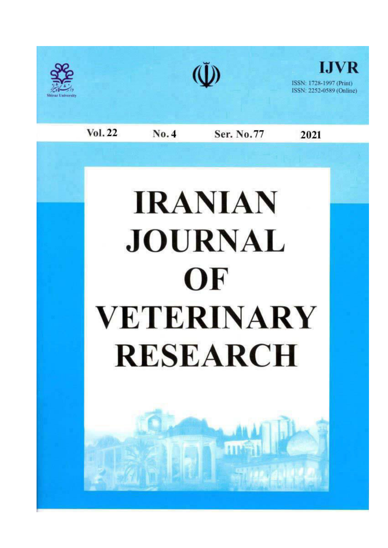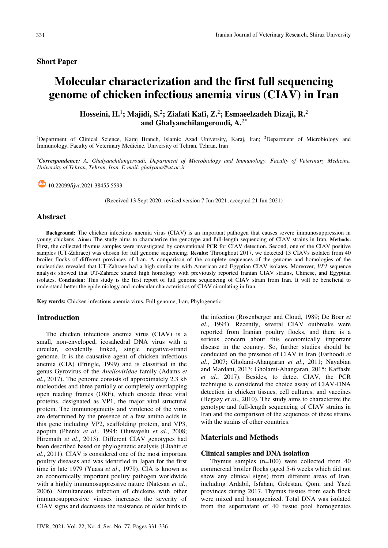# **Short Paper**

# Molecular characterization and the first full sequencing genome of chicken infectious anemia virus (CIAV) in Iran

Hosseini, H.<sup>1</sup>; Majidi, S.<sup>2</sup>; Ziafati Kafi, Z.<sup>2</sup>; Esmaeelzadeh Dizaji, R.<sup>2</sup> and Ghalvanchilangeroudi.  $A.^{2*}$ 

<sup>1</sup>Department of Clinical Science, Karaj Branch, Islamic Azad University, Karaj, Iran; <sup>2</sup>Department of Microbiology and Immunology, Faculty of Veterinary Medicine, University of Tehran, Tehran, Iran

\*Correspondence: A. Ghalyanchilangeroudi, Department of Microbiology and Immunology, Faculty of Veterinary Medicine, University of Tehran, Tehran, Iran. E-mail: ghalyana@ut.ac.ir

 $\bigcirc$  10.22099/ijvr.2021.38455.5593

(Received 13 Sept 2020; revised version 7 Jun 2021; accepted 21 Jun 2021)

## **Abstract**

Background: The chicken infectious anemia virus (CIAV) is an important pathogen that causes severe immunosuppression in voung chickens. Aims: The study aims to characterize the genotype and full-length sequencing of CIAV strains in Iran. Methods: First, the collected thymus samples were investigated by conventional PCR for CIAV detection. Second, one of the CIAV positive samples (UT-Zahraee) was chosen for full genome sequencing. Results: Throughout 2017, we detected 13 CIAVs isolated from 40 broiler flocks of different provinces of Iran. A comparison of the complete sequences of the genome and homologies of the nucleotides revealed that UT-Zahraee had a high similarity with American and Egyptian CIAV isolates. Moreover, VP1 sequence analysis showed that UT-Zahraee shared high homology with previously reported Iranian CIAV strains, Chinese, and Egyptian isolates. Conclusion: This study is the first report of full genome sequencing of CIAV strain from Iran. It will be beneficial to understand better the epidemiology and molecular characteristics of CIAV circulating in Iran.

Key words: Chicken infectious anemia virus, Full genome, Iran, Phylogenetic

## **Introduction**

The chicken infectious anemia virus (CIAV) is a small, non-enveloped, icosahedral DNA virus with a circular, covalently linked, single negative-strand genome. It is the causative agent of chicken infectious anemia (CIA) (Pringle, 1999) and is classified in the genus Gyrovirus of the Anelloviridae family (Adams et *al.*, 2017). The genome consists of approximately 2.3 kb nucleotides and three partially or completely overlapping open reading frames (ORF), which encode three viral proteins, designated as VP1, the major viral structural protein. The immunogenicity and virulence of the virus are determined by the presence of a few amino acids in this gene including VP2, scaffolding protein, and VP3, apoptin (Phenix et al., 1994; Oluwayelu et al., 2008; Hiremath et al., 2013). Different CIAV genotypes had been described based on phylogenetic analysis (Eltahir et al., 2011). CIAV is considered one of the most important poultry diseases and was identified in Japan for the first time in late 1979 (Yuasa et al., 1979). CIA is known as an economically important poultry pathogen worldwide with a highly immunosuppressive nature (Natesan et al., 2006). Simultaneous infection of chickens with other immunosuppressive viruses increases the severity of CIAV signs and decreases the resistance of older birds to

IJVR, 2021, Vol. 22, No. 4, Ser. No. 77, Pages 331-336

the infection (Rosenberger and Cloud, 1989; De Boer et al., 1994). Recently, several CIAV outbreaks were reported from Iranian poultry flocks, and there is a serious concern about this economically important disease in the country. So, further studies should be conducted on the presence of CIAV in Iran (Farhoodi et al., 2007; Gholami-Ahangaran et al., 2011; Nayabian and Mardani, 2013; Gholami-Ahangaran, 2015; Kaffashi et al., 2017). Besides, to detect CIAV, the PCR technique is considered the choice assay of CIAV-DNA detection in chicken tissues, cell cultures, and vaccines (Hegazy et al., 2010). The study aims to characterize the genotype and full-length sequencing of CIAV strains in Iran and the comparison of the sequences of these strains with the strains of other countries.

# **Materials and Methods**

# **Clinical samples and DNA isolation**

Thymus samples  $(n=100)$  were collected from 40 commercial broiler flocks (aged 5-6 weeks which did not show any clinical signs) from different areas of Iran, including Ardabil, Isfahan, Golestan, Qom, and Yazd provinces during 2017. Thymus tissues from each flock were mixed and homogenized. Total DNA was isolated from the supernatant of 40 tissue pool homogenates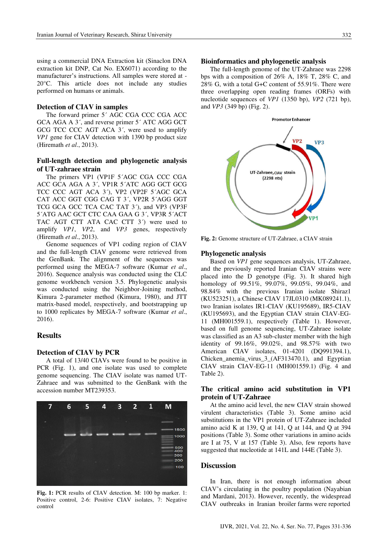using a commercial DNA Extraction kit (Sinaclon DNA extraction kit DNP, Cat No. EX6071) according to the manufacturer's instructions. All samples were stored at -20°C. This article does not include any studies performed on humans or animals.

#### **Detection of CIAV in samples**

The forward primer 5' AGC CGA CCC CGA ACC GCA AGA A 3', and reverse primer 5' ATC AGG GCT GCG TCC CCC AGT ACA 3', were used to amplify VP1 gene for CIAV detection with 1390 bp product size (Hiremath et al., 2013).

# Full-length detection and phylogenetic analysis of UT-zahraee strain

The primers VP1 (VP1F 5'AGC CGA CCC CGA ACC GCA AGA A 3'. VPIR 5'ATC AGG GCT GCG TCC CCC AGT ACA 3<sup>'</sup>), VP2 (VP2F 5'AGC GCA CAT ACC GGT CGG CAG T 3', VP2R 5'AGG GGT TCG GCA GCC TCA CAC TAT 3'), and VP3 (VP3F 5'ATG AAC GCT CTC CAA GAA G 3', VP3R 5'ACT TAC AGT CTT ATA CAC CTT 3') were used to amplify VP1, VP2, and VP3 genes, respectively (Hiremath  $et al., 2013$ ).

Genome sequences of VP1 coding region of CIAV and the full-length CIAV genome were retrieved from the GenBank. The alignment of the sequences was performed using the MEGA-7 software (Kumar et al., 2016). Sequence analysis was conducted using the CLC genome workbench version 3.5. Phylogenetic analysis was conducted using the Neighbor-Joining method, Kimura 2-parameter method (Kimura, 1980), and JTT matrix-based model, respectively, and bootstrapping up to 1000 replicates by MEGA-7 software (Kumar et al., 2016).

### **Results**

#### **Detection of CIAV by PCR**

A total of 13/40 CIAVs were found to be positive in PCR (Fig. 1), and one isolate was used to complete genome sequencing. The CIAV isolate was named UT-Zahraee and was submitted to the GenBank with the accession number MT239353.



Fig. 1: PCR results of CIAV detection. M: 100 bp marker. 1: Positive control, 2-6: Positive CIAV isolates, 7: Negative control

#### **Bioinformatics and phylogenetic analysis**

The full-length genome of the UT-Zahraee was 2298 bps with a composition of  $26\%$  A,  $18\%$  T,  $28\%$  C, and 28% G, with a total G+C content of 55.91%. There were three overlapping open reading frames (ORFs) with nucleotide sequences of  $VPI$  (1350 bp),  $VP2$  (721 bp), and  $VP3$  (349 bp) (Fig. 2).



Fig. 2: Genome structure of UT-Zahraee, a CIAV strain

#### **Phylogenetic analysis**

Based on *VP1* gene sequences analysis, UT-Zahraee, and the previously reported Iranian CIAV strains were placed into the D genotype (Fig. 3). It shared high homology of 99.51%, 99.07%, 99.05%, 99.04%, and 98.84% with the previous Iranian isolate Shiraz1 (KU523251), a Chinese CIAV 17JL0310 (MK089241.1), two Iranian isolates IR1-CIAV (KU195689), IR5-CIAV (KU195693), and the Egyptian CIAV strain CIAV-EG-11 (MH001559.1), respectively (Table 1). However, based on full genome sequencing, UT-Zahraee isolate was classified as an A3 sub-cluster member with the high identity of 99.16%, 99.02%, and 98.57% with two American CIAV isolates, 01-4201 (DQ991394.1), Chicken\_anemia\_virus\_3\_(AF313470.1), and Egyptian CIAV strain CIAV-EG-11 (MH001559.1) (Fig. 4 and Table 2).

# The critical amino acid substitution in VP1 protein of UT-Zahraee

At the amino acid level, the new CIAV strain showed virulent characteristics (Table 3). Some amino acid substitutions in the VP1 protein of UT-Zahraee included amino acid K at 139, Q at 141, Q at 144, and Q at 394 positions (Table 3). Some other variations in amino acids are I at 75, V at 157 (Table 3). Also, few reports have suggested that nucleotide at 141L and 144E (Table 3).

# **Discussion**

In Iran, there is not enough information about CIAV's circulating in the poultry population (Nayabian and Mardani, 2013). However, recently, the widespread CIAV outbreaks in Iranian broiler farms were reported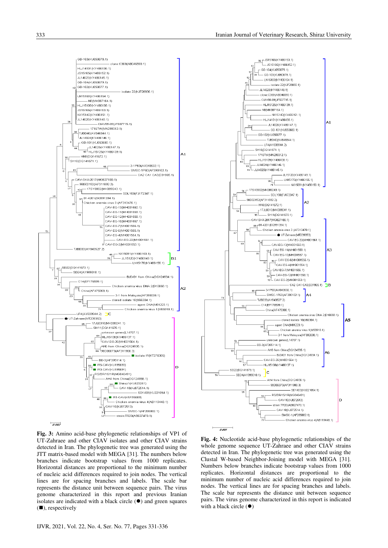



Fig. 3: Amino acid-base phylogenetic relationships of VP1 of UT-Zahraee and other CIAV isolates and other CIAV strains detected in Iran. The phylogenetic tree was generated using the JTT matrix-based model with MEGA [31]. The numbers below branches indicate bootstrap values from 1000 replicates. Horizontal distances are proportional to the minimum number of nucleic acid differences required to join nodes. The vertical lines are for spacing branches and labels. The scale bar represents the distance unit between sequence pairs. The virus genome characterized in this report and previous Iranian isolates are indicated with a black circle  $(①)$  and green squares  $(\blacksquare)$ , respectively

Fig. 4: Nucleotide acid-base phylogenetic relationships of the whole genome sequence UT-Zahraee and other CIAV strains detected in Iran. The phylogenetic tree was generated using the Clustal W-based Neighbor-Joining model with MEGA [31]. Numbers below branches indicate bootstrap values from 1000 replicates. Horizontal distances are proportional to the minimum number of nucleic acid differences required to join nodes. The vertical lines are for spacing branches and labels. The scale bar represents the distance unit between sequence pairs. The virus genome characterized in this report is indicated with a black circle  $(\bullet)$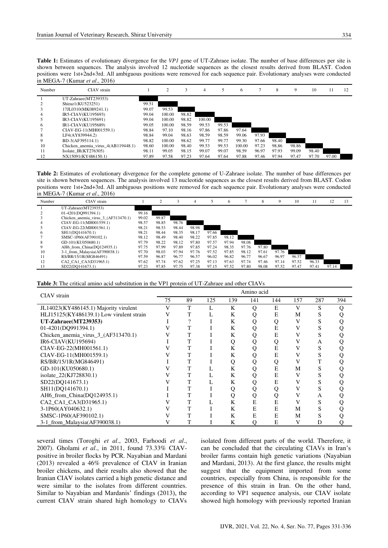Table 1: Estimates of evolutionary divergence for the VP1 gene of UT-Zahraee isolate. The number of base differences per site is shown between sequences. The analysis involved 12 nucleotide sequences as the closest results derived from BLAST. Codon positions were 1st+2nd+3rd. All ambiguous positions were removed for each sequence pair. Evolutionary analyses were conducted in MEGA-7 (Kumar et al., 2016)

| Number | CIAV strain                        |       |        |       | 4      |       | 6      |       | 8     | 9     | 10    | 11    | 12 |
|--------|------------------------------------|-------|--------|-------|--------|-------|--------|-------|-------|-------|-------|-------|----|
|        | UT-Zahraee(MT239353)               |       |        |       |        |       |        |       |       |       |       |       |    |
|        | Shiraz1(KU523251)                  | 99.51 |        |       |        |       |        |       |       |       |       |       |    |
|        | 17JL0310(MK089241.1)               | 99.07 | 99.53  |       |        |       |        |       |       |       |       |       |    |
| 4      | IR5-CIAV(KU195693)                 | 99.04 | 100.00 | 98.82 |        |       |        |       |       |       |       |       |    |
|        | IR3-CIAV(KU195691)                 | 99.04 | 100.00 | 98.82 | 100.00 |       |        |       |       |       |       |       |    |
| 6      | IR1-CIAV(KU195689)                 | 99.05 | 100.00 | 98.59 | 99.53  | 99.53 |        |       |       |       |       |       |    |
|        | CIAV-EG-11(MH001559.1)             | 98.84 | 97.10  | 98.16 | 97.86  | 97.86 | 97.64  |       |       |       |       |       |    |
| 8      | LF4(AY839944.2)                    | 98.84 | 99.04  | 98.63 | 98.59  | 98.59 | 99.06  | 97.93 |       |       |       |       |    |
| 9      | BD-3(AF395114.1)                   | 98.82 | 100.00 | 98.62 | 99.77  | 99.77 | 99.30  | 97.66 | 98.40 |       |       |       |    |
| 10     | Chicken anemia virus 4(AB119448.1) | 98.60 | 100.00 | 98.40 | 99.53  | 99.53 | 100.00 | 97.23 | 98.86 | 98.86 |       |       |    |
| 11     | Isolate $IR(KT276305)$             | 98.11 | 99.05  | 98.15 | 99.07  | 99.07 | 98.59  | 96.97 | 97.93 | 99.09 | 98.40 |       |    |
| 12     | NX15091(KY486150.1)                | 97.89 | 97.58  | 97.23 | 97.64  | 97.64 | 97.88  | 97.46 | 97.94 | 97.47 | 97.70 | 97.00 |    |

Table 2: Estimates of evolutionary divergence for the complete genome of U-Zahraee isolate. The number of base differences per site is shown between sequences. The analysis involved 13 nucleotide sequences as the closest results derived from BLAST. Codon positions were 1st+2nd+3rd. All ambiguous positions were removed for each sequence pair. Evolutionary analyses were conducted in MEGA-7 (Kumar et al., 2016)

| Number | CIAV strain                         |       |       |       | 4     |       | 6     |       | 8     | 9     | 10    | 11    | 12    | 13 |
|--------|-------------------------------------|-------|-------|-------|-------|-------|-------|-------|-------|-------|-------|-------|-------|----|
|        | UT-Zahraee(MT239353)                |       |       |       |       |       |       |       |       |       |       |       |       |    |
|        | 01-4201(DQ991394.1)                 | 99.16 |       |       |       |       |       |       |       |       |       |       |       |    |
|        | Chicken anemia virus 3 (AF313470.1) | 99.02 | 99.87 |       |       |       |       |       |       |       |       |       |       |    |
| 4      | CIAV-EG-11(MH001559.1)              | 98.57 | 98.85 | 98.76 |       |       |       |       |       |       |       |       |       |    |
|        | CIAV-EG-22(MH001561.1)              | 98.21 | 98.53 | 98.44 | 98.98 |       |       |       |       |       |       |       |       |    |
| 6      | SH11(DQ141670.1)                    | 98.21 | 98.44 | 98.35 | 98.17 | 97.66 |       |       |       |       |       |       |       |    |
|        | SMSC-1P60(AF390102.1)               | 98.12 | 98.49 | 98.40 | 98.22 | 97.85 | 98.12 |       |       |       |       |       |       |    |
| 8      | GD-101(KU050680.1)                  | 97.79 | 98.22 | 98.12 | 97.80 | 97.57 | 97.94 | 98.08 |       |       |       |       |       |    |
| 9      | AH6 from China(DQ124935.1)          | 97.75 | 97.99 | 97.89 | 97.85 | 97.24 | 98.35 | 97.76 | 97.80 |       |       |       |       |    |
| 10     | 3-1 from Malaysia(AF390038.1)       | 97.70 | 98.03 | 97.94 | 97.76 | 97.52 | 97.85 | 98.12 | 97.61 | 97.76 |       |       |       |    |
| 11     | RS/BR/15/1R(MG846491)               | 97.59 | 96.87 | 96.77 | 96.57 | 96.02 | 96.82 | 96.77 | 96.67 | 96.97 | 96.57 |       |       |    |
| 12     | CA2 CA1 CA3(D31965.1)               | 97.62 | 97.74 | 97.62 | 97.25 | 97.13 | 97.63 | 97.74 | 97.46 | 97.14 | 97.52 | 96.33 |       |    |
| 13     | SD22(DO141673.1)                    | 97.23 | 97.85 | 97.75 | 97.38 | 97.15 | 97.52 | 97.80 | 98.08 | 97.52 | 97.47 | 97.41 | 97.14 |    |

| CIAV strain                              | Amino acid |    |     |     |     |     |     |     |     |  |  |
|------------------------------------------|------------|----|-----|-----|-----|-----|-----|-----|-----|--|--|
|                                          | 75         | 89 | 125 | 139 | 141 | 144 | 157 | 287 | 394 |  |  |
| JL14023(KY486145.1) Majority virulent    | V          | T  | L   | K   | O   | Ε   | V   | S   |     |  |  |
| HLJ15125(KY486139.1) Low virulent strain |            |    |     | K   | Ő   | E   | М   | S   |     |  |  |
| UT-Zahraee(MT239353)                     |            |    |     | K   |     | Q   | v   |     |     |  |  |
| 01-4201(DQ991394.1)                      |            |    |     | K   |     | Ē   |     |     |     |  |  |
| Chicken_anemia_virus_3_(AF313470.1)      |            |    |     | K   |     | E   |     |     |     |  |  |
| IR6-CIAV(KU195694)                       |            |    |     | Q   |     | Q   |     | А   |     |  |  |
| CIAV-EG-22(MH001561.1)                   |            |    |     | K   |     | E   |     | S   |     |  |  |
| CIAV-EG-11(MH001559.1)                   |            |    |     | K   |     | E   |     | S   |     |  |  |
| RS/BR/15/1R(MG846491)                    |            |    |     | Q   |     | Q   |     |     |     |  |  |
| GD-101(KU050680.1)                       |            |    |     | K   |     | E   | М   |     |     |  |  |
| isolate_22(KJ728830.1)                   |            |    |     | K   |     | E   | v   |     |     |  |  |
| SD22(DQ141673.1)                         |            |    |     | K   |     | E   |     | S   |     |  |  |
| SH11(DQ141670.1)                         |            |    |     |     |     | Q   |     |     |     |  |  |
| AH6 from China(DQ124935.1)               |            |    |     | Q   |     | Q   |     | A   |     |  |  |
| CA2 CA1 CA3(D31965.1)                    |            |    |     | K   | E   | E   |     | S   |     |  |  |
| 3-1P60(AY040632.1)                       |            |    |     | K   | E   | E   | М   |     |     |  |  |
| SMSC-1P60(AF390102.1)                    |            |    |     | K   | E   | E   | M   |     |     |  |  |
| 3-1_from_Malaysia(AF390038.1)            |            |    |     | K   | 0   | E   |     | D   |     |  |  |

several times (Toroghi et al., 2003, Farhoodi et al., 2007). Gholami et al., in 2011, found 73.33% CIAVpositive in broiler flocks by PCR. Nayabian and Mardani (2013) revealed a 46% prevalence of CIAV in Iranian broiler chickens, and their results also showed that the Iranian CIAV isolates carried a high genetic distance and were similar to the isolates from different countries. Similar to Nayabian and Mardanis' findings (2013), the current CIAV strain shared high homology to CIAVs isolated from different parts of the world. Therefore, it can be concluded that the circulating CIAVs in Iran's broiler farms contain high genetic variations (Nayabian and Mardani, 2013). At the first glance, the results might suggest that the equipment imported from some countries, especially from China, is responsible for the presence of this strain in Iran. On the other hand, according to VP1 sequence analysis, our CIAV isolate showed high homology with previously reported Iranian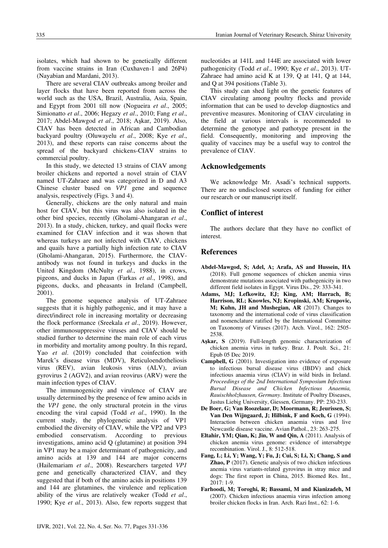isolates, which had shown to be genetically different from vaccine strains in Iran (Cuxhaven-1 and 26P4) (Navabian and Mardani, 2013).

There are several CIAV outbreaks among broiler and layer flocks that have been reported from across the world such as the USA, Brazil, Australia, Asia, Spain, and Egypt from 2001 till now (Nogueira et al., 2005; Simionatto et al., 2006; Hegazy et al., 2010; Fang et al., 2017; Abdel-Mawgod et al., 2018; Aşkar, 2019). Also, CIAV has been detected in African and Cambodian backyard poultry (Oluwayelu et al., 2008; Kye et al., 2013), and these reports can raise concerns about the spread of the backyard chickens-CIAV strains to commercial poultry.

In this study, we detected 13 strains of CIAV among broiler chickens and reported a novel strain of CIAV named UT-Zahraee and was categorized in D and A3 Chinese cluster based on VP1 gene and sequence analysis, respectively (Figs. 3 and 4).

Generally, chickens are the only natural and main host for CIAV, but this virus was also isolated in the other bird species, recently (Gholami-Ahangaran et al., 2013). In a study, chicken, turkey, and quail flocks were examined for CIAV infection and it was shown that whereas turkeys are not infected with CIAV, chickens and quails have a partially high infection rate to CIAV (Gholami-Ahangaran, 2015). Furthermore, the CIAVantibody was not found in turkeys and ducks in the United Kingdom (McNulty et al., 1988), in crows, pigeons, and ducks in Japan (Farkas et al., 1998), and pigeons, ducks, and pheasants in Ireland (Campbell,  $2001$ ).

The genome sequence analysis of UT-Zahraee suggests that it is highly pathogenic, and it may have a direct/indirect role in increasing mortality or decreasing the flock performance (Sreekala et al., 2019). However, other immunosuppressive viruses and CIAV should be studied further to determine the main role of each virus in morbidity and mortality among poultry. In this regard, Yao et al. (2019) concluded that coinfection with Marek's disease virus (MDV), Reticuloendotheliosis virus (REV), avian leukosis virus (ALV), avian gyrovirus 2 (AGV2), and avian reovirus (ARV) were the main infection types of CIAV.

The immunogenicity and virulence of CIAV are usually determined by the presence of few amino acids in the VP1 gene, the only structural protein in the virus encoding the viral capsid (Todd et al., 1990). In the current study, the phylogenetic analysis of VP1 embodied the diversity of CIAV, while the VP2 and VP3 to previous conservatism. According embodied investigations, amino acid Q (glutamine) at position 394 in VP1 may be a major determinant of pathogenicity, and amino acids at 139 and 144 are major concerns (Hailemariam et al., 2008). Researchers targeted VP1 gene and genetically characterized CIAV, and they suggested that if both of the amino acids in positions 139 and 144 are glutamines, the virulence and replication ability of the virus are relatively weaker (Todd et al., 1990; Kye et al., 2013). Also, few reports suggest that nucleotides at 141L and 144E are associated with lower pathogenicity (Todd et al., 1990; Kye et al., 2013). UT-Zahraee had amino acid K at 139, Q at 141, Q at 144, and O at 394 positions (Table 3).

This study can shed light on the genetic features of CIAV circulating among poultry flocks and provide information that can be used to develop diagnostics and preventive measures. Monitoring of CIAV circulating in the field at various intervals is recommended to determine the genotype and pathotype present in the field. Consequently, monitoring and improving the quality of vaccines may be a useful way to control the prevalence of CIAV.

# **Acknowledgements**

We acknowledge Mr. Asadi's technical supports. There are no undisclosed sources of funding for either our research or our manuscript itself.

# **Conflict of interest**

The authors declare that they have no conflict of interest

# **References**

- Abdel-Mawgod, S: Adel, A: Arafa, AS and Hussein, HA (2018). Full genome sequences of chicken anemia virus demonstrate mutations associated with pathogenicity in two different field isolates in Egypt. Virus Dis., 29: 333-341.
- Adams, MJ; Lefkowitz, EJ; King, AM; Harrach, B; Harrison, RL; Knowles, NJ; Kropinski, AM; Krupovic, M; Kuhn, JH and Mushegian, AR (2017). Changes to taxonomy and the international code of virus classification and nomenclature ratified by the International Committee on Taxonomy of Viruses (2017). Arch. Virol., 162: 2505-2538
- Aşkar, S (2019). Full-length genomic characterization of chicken anemia virus in turkey. Braz. J. Poult. Sci., 21: Epub 05 Dec 2019.
- **Campbell, G** (2001). Investigation into evidence of exposure to infectious bursal disease virus (IBDV) and chick infectious anaemia virus (CIAV) in wild birds in Ireland. Proceedings of the 2nd International Symposium Infectious Bursal Disease and Chicken Infectious Anaemia, Rauischholzhausen, Germany. Institute of Poultry Diseases, Justus Liebig University, Giessen, Germany. PP: 230-233.
- De Boer, G; Van Roozelaar, D; Moormann, R; Jeurissen, S; Van Den Wijngaard, J; Hilbink, F and Koch, G (1994). Interaction between chicken anaemia virus and live Newcastle disease vaccine. Avian Pathol., 23: 263-275.
- Eltahir, YM; Qian, K; Jin, W and Qin, A (2011). Analysis of chicken anemia virus genome: evidence of intersubtype recombination. Virol. J., 8: 512-518.
- Fang, L; Li, Y; Wang, Y; Fu, J; Cui, S; Li, X; Chang, S and Zhao, P (2017). Genetic analysis of two chicken infectious anemia virus variants-related gyrovirus in stray mice and dogs: The first report in China, 2015. Biomed Res. Int.,  $2017:1-9.$
- Farhoodi, M; Toroghi, R; Bassami, M and Kianizadeh, M (2007). Chicken infectious anaemia virus infection among broiler chicken flocks in Iran. Arch. Razi Inst., 62: 1-6.